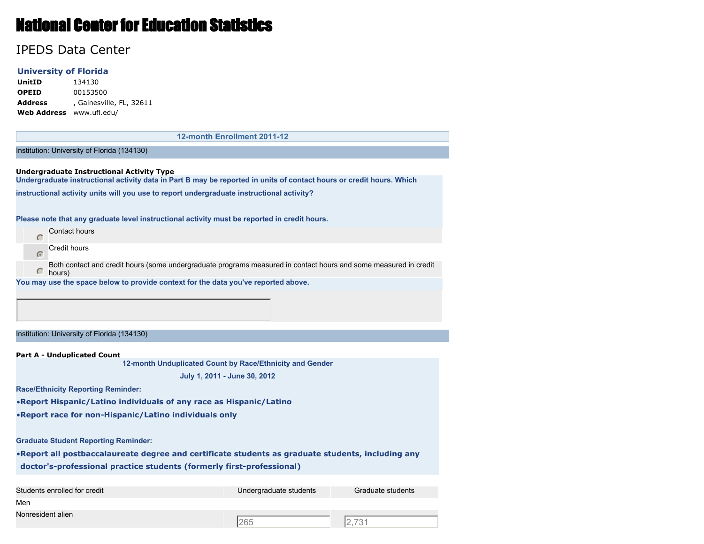## National Center for Education Statistics

## IPEDS Data Center

## **University of Florida**

**UnitID** 134130 **OPEID** 00153500 **Address** , Gainesville, FL, 32611 **Web Address** www.ufl.edu/

**12-month Enrollment 2011-12**

Institution: University of Florida (134130)

**Undergraduate Instructional Activity Type Undergraduate instructional activity data in Part B may be reported in units of contact hours or credit hours. Which**

**instructional activity units will you use to report undergraduate instructional activity?**

**Please note that any graduate level instructional activity must be reported in credit hours.**

|  | <b>Contact hours</b> |
|--|----------------------|
|  | <b>Credit hours</b>  |

Both contact and credit hours (some undergraduate programs measured in contact hours and some measured in credit  $\subset$ hours)

**You may use the space below to provide context for the data you've reported above.**

Institution: University of Florida (134130)

**Part A - Unduplicated Count**

**12-month Unduplicated Count by Race/Ethnicity and Gender**

**July 1, 2011 - June 30, 2012**

**Race/Ethnicity Reporting Reminder:**

•**Report Hispanic/Latino individuals of any race as Hispanic/Latino**

•**Report race for non-Hispanic/Latino individuals only**

**Graduate Student Reporting Reminder:**

•**Report all postbaccalaureate degree and certificate students as graduate students, including any doctor's-professional practice students (formerly first-professional)**

| Students enrolled for credit | Undergraduate students | Graduate students |
|------------------------------|------------------------|-------------------|
| Men                          |                        |                   |
| Nonresident alien            | 265                    | 12.731            |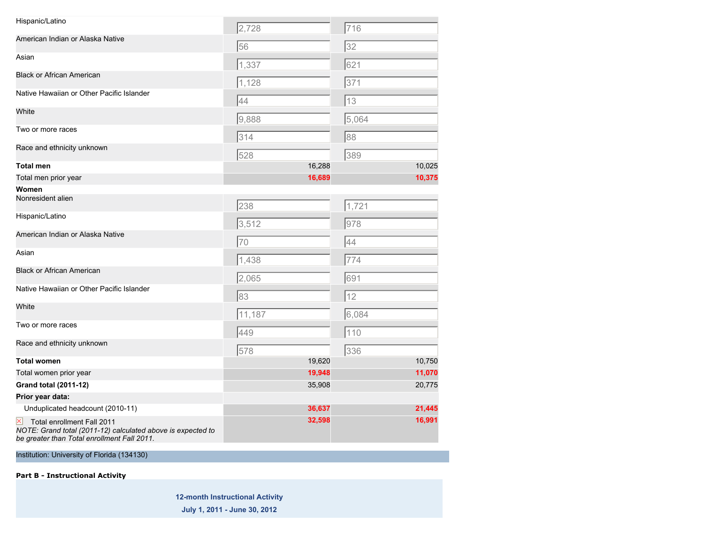| Hispanic/Latino                                                                                                                          | 2,728  |        | 716   |        |
|------------------------------------------------------------------------------------------------------------------------------------------|--------|--------|-------|--------|
| American Indian or Alaska Native                                                                                                         | 56     |        | 32    |        |
| Asian                                                                                                                                    | 1,337  |        | 621   |        |
| <b>Black or African American</b>                                                                                                         | 1,128  |        | 371   |        |
| Native Hawaiian or Other Pacific Islander                                                                                                | 44     |        | 13    |        |
| White                                                                                                                                    | 9,888  |        | 5,064 |        |
| Two or more races                                                                                                                        | 314    |        | 88    |        |
| Race and ethnicity unknown                                                                                                               | 528    |        | 389   |        |
| Total men                                                                                                                                |        | 16,288 |       | 10,025 |
| Total men prior year                                                                                                                     |        | 16,689 |       | 10,375 |
| Women                                                                                                                                    |        |        |       |        |
| Nonresident alien                                                                                                                        | 238    |        | 1,721 |        |
| Hispanic/Latino                                                                                                                          | 3,512  |        | 978   |        |
| American Indian or Alaska Native                                                                                                         | 70     |        | 44    |        |
| Asian                                                                                                                                    | 1,438  |        | 774   |        |
| <b>Black or African American</b>                                                                                                         | 2,065  |        | 691   |        |
| Native Hawaiian or Other Pacific Islander                                                                                                | 83     |        | 12    |        |
| White                                                                                                                                    | 11,187 |        | 6,084 |        |
| Two or more races                                                                                                                        | 449    |        | 110   |        |
| Race and ethnicity unknown                                                                                                               | 578    |        | 336   |        |
| <b>Total women</b>                                                                                                                       |        | 19,620 |       | 10,750 |
| Total women prior year                                                                                                                   |        | 19,948 |       | 11,070 |
| Grand total (2011-12)                                                                                                                    |        | 35,908 |       | 20,775 |
| Prior year data:                                                                                                                         |        |        |       |        |
| Unduplicated headcount (2010-11)                                                                                                         |        | 36,637 |       | 21,445 |
| Total enrollment Fall 2011<br>NOTE: Grand total (2011-12) calculated above is expected to<br>be greater than Total enrollment Fall 2011. |        | 32,598 |       | 16,991 |

Institution: University of Florida (134130)

**Part B - Instructional Activity**

**12-month Instructional Activity**

**July 1, 2011 - June 30, 2012**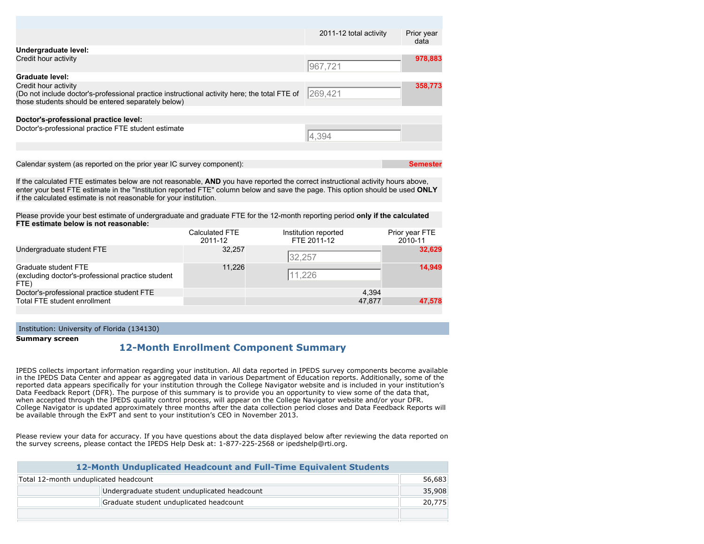|                                                                                                                                                                            | 2011-12 total activity | Prior year<br>data |
|----------------------------------------------------------------------------------------------------------------------------------------------------------------------------|------------------------|--------------------|
| Undergraduate level:                                                                                                                                                       |                        |                    |
| Credit hour activity                                                                                                                                                       | 967,721                | 978,883            |
| <b>Graduate level:</b>                                                                                                                                                     |                        |                    |
| Credit hour activity<br>(Do not include doctor's-professional practice instructional activity here; the total FTE of<br>those students should be entered separately below) | 269,421                | 358,773            |
|                                                                                                                                                                            |                        |                    |
| Doctor's-professional practice level:                                                                                                                                      |                        |                    |
| Doctor's-professional practice FTE student estimate                                                                                                                        | 4,394                  |                    |
|                                                                                                                                                                            |                        |                    |
|                                                                                                                                                                            |                        |                    |
| Calendar system (as reported on the prior year IC survey component):                                                                                                       |                        | Semester           |

If the calculated FTE estimates below are not reasonable, **AND** you have reported the correct instructional activity hours above, enter your best FTE estimate in the "Institution reported FTE" column below and save the page. This option should be used **ONLY** if the calculated estimate is not reasonable for your institution.

Please provide your best estimate of undergraduate and graduate FTE for the 12-month reporting period **only if the calculated FTE estimate below is not reasonable:**

|                                                                                   | Calculated FTE<br>2011-12 | Institution reported<br>FTE 2011-12 | Prior year FTE<br>2010-11 |
|-----------------------------------------------------------------------------------|---------------------------|-------------------------------------|---------------------------|
| Undergraduate student FTE                                                         | 32.257                    | 32,257                              | 32,629                    |
| Graduate student FTE<br>(excluding doctor's-professional practice student<br>FTE) | 11.226                    | 11,226                              | 14.949                    |
| Doctor's-professional practice student FTE                                        |                           | 4.394                               |                           |
| Total FTE student enrollment                                                      |                           | 47.877                              | 47.578                    |

Institution: University of Florida (134130)

**Summary screen**

## **12-Month Enrollment Component Summary**

IPEDS collects important information regarding your institution. All data reported in IPEDS survey components become available in the IPEDS Data Center and appear as aggregated data in various Department of Education reports. Additionally, some of the reported data appears specifically for your institution through the College Navigator website and is included in your institution's Data Feedback Report (DFR). The purpose of this summary is to provide you an opportunity to view some of the data that, when accepted through the IPEDS quality control process, will appear on the College Navigator website and/or your DFR. College Navigator is updated approximately three months after the data collection period closes and Data Feedback Reports will be available through the ExPT and sent to your institution's CEO in November 2013.

Please review your data for accuracy. If you have questions about the data displayed below after reviewing the data reported on the survey screens, please contact the IPEDS Help Desk at: 1-877-225-2568 or ipedshelp@rti.org.

| 12-Month Unduplicated Headcount and Full-Time Equivalent Students |        |  |
|-------------------------------------------------------------------|--------|--|
| Total 12-month unduplicated headcount                             |        |  |
| Undergraduate student unduplicated headcount                      |        |  |
| Graduate student unduplicated headcount                           | 20,775 |  |
|                                                                   |        |  |